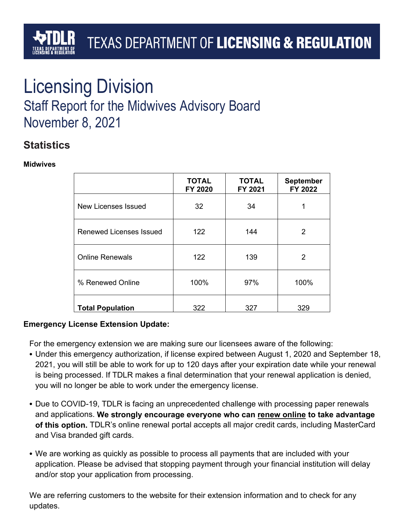# Licensing Division Staff Report for the Midwives Advisory Board November 8, 2021

# **Statistics**

#### **Midwives**

|                            | <b>TOTAL</b><br>FY 2020 | <b>TOTAL</b><br>FY 2021 | <b>September</b><br>FY 2022 |
|----------------------------|-------------------------|-------------------------|-----------------------------|
| <b>New Licenses Issued</b> | 32                      | 34                      |                             |
| Renewed Licenses Issued    | 122                     | 144                     | 2                           |
| <b>Online Renewals</b>     | 122                     | 139                     | 2                           |
| % Renewed Online           | 100%                    | 97%                     | 100%                        |
| <b>Total Population</b>    | 322                     | 327                     | 329                         |

#### **Emergency License Extension Update:**

For the emergency extension we are making sure our licensees aware of the following:

- Under this emergency authorization, if license expired between August 1, 2020 and September 18, 2021, you will still be able to work for up to 120 days after your expiration date while your renewal is being processed. If TDLR makes a final determination that your renewal application is denied, you will no longer be able to work under the emergency license.
- Due to COVID-19, TDLR is facing an unprecedented challenge with processing paper renewals and applications. **We strongly encourage everyone who can renew [online](https://www.tdlr.texas.gov/services.htm) to take advantage of this option.** TDLR's online renewal portal accepts all major credit cards, including MasterCard and Visa branded gift cards.
- We are working as quickly as possible to process all payments that are included with your application. Please be advised that stopping payment through your financial institution will delay and/or stop your application from processing.

We are referring customers to the website for their extension information and to check for any updates.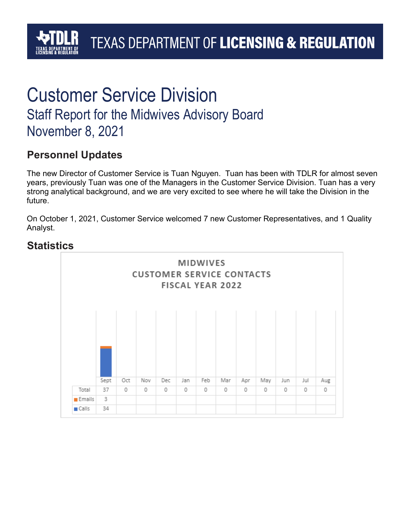# TEXAS DEPARTMENT OF LICENSING & REGULATION

# Customer Service Division Staff Report for the Midwives Advisory Board November 8, 2021

### **Personnel Updates**

The new Director of Customer Service is Tuan Nguyen. Tuan has been with TDLR for almost seven years, previously Tuan was one of the Managers in the Customer Service Division. Tuan has a very strong analytical background, and we are very excited to see where he will take the Division in the future.

On October 1, 2021, Customer Service welcomed 7 new Customer Representatives, and 1 Quality Analyst.

#### **MIDWIVES CUSTOMER SERVICE CONTACTS FISCAL YEAR 2022** Dec Feb Mar Jul Sept Oct Nov Jan Apr May Jun Aug Total 37 0 0 0 0 0 0 0 0 0 0 0 3 **Emails** Calls 34

### **Statistics**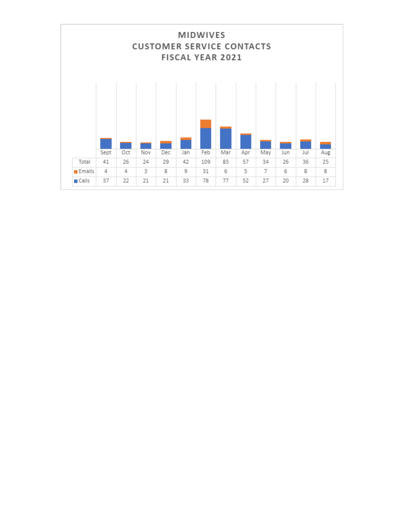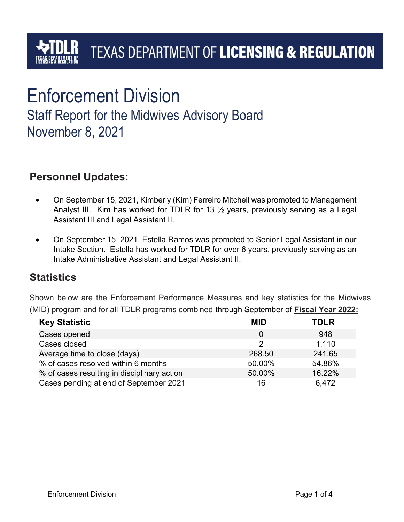# Enforcement Division

# Staff Report for the Midwives Advisory Board November 8, 2021

## Personnel Updates:

- On September 15, 2021, Kimberly (Kim) Ferreiro Mitchell was promoted to Management Analyst III. Kim has worked for TDLR for 13 ½ years, previously serving as a Legal Assistant III and Legal Assistant II.
- On September 15, 2021, Estella Ramos was promoted to Senior Legal Assistant in our Intake Section. Estella has worked for TDLR for over 6 years, previously serving as an Intake Administrative Assistant and Legal Assistant II.

### **Statistics**

Shown below are the Enforcement Performance Measures and key statistics for the Midwives (MID) program and for all TDLR programs combined through September of **Fiscal Year 2022:** 

| <b>Key Statistic</b>                        | <b>MID</b> | <b>TDLR</b> |
|---------------------------------------------|------------|-------------|
| Cases opened                                | 0          | 948         |
| Cases closed                                | 2          | 1.110       |
| Average time to close (days)                | 268.50     | 241.65      |
| % of cases resolved within 6 months         | 50.00%     | 54.86%      |
| % of cases resulting in disciplinary action | 50.00%     | 16.22%      |
| Cases pending at end of September 2021      | 16         | 6,472       |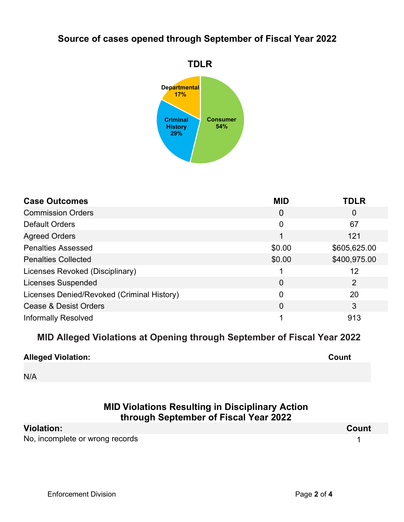#### Source of cases opened through September of Fiscal Year 2022



| <b>Case Outcomes</b>                       | <b>MID</b>     | <b>TDLR</b>  |
|--------------------------------------------|----------------|--------------|
| <b>Commission Orders</b>                   | 0              | $\mathbf 0$  |
| <b>Default Orders</b>                      | $\overline{0}$ | 67           |
| <b>Agreed Orders</b>                       |                | 121          |
| <b>Penalties Assessed</b>                  | \$0.00         | \$605,625.00 |
| <b>Penalties Collected</b>                 | \$0.00         | \$400,975.00 |
| Licenses Revoked (Disciplinary)            |                | 12           |
| Licenses Suspended                         | $\overline{0}$ | 2            |
| Licenses Denied/Revoked (Criminal History) | 0              | 20           |
| <b>Cease &amp; Desist Orders</b>           | $\overline{0}$ | 3            |
| <b>Informally Resolved</b>                 |                | 913          |

#### MID Alleged Violations at Opening through September of Fiscal Year 2022

| <b>Alleged Violation:</b> | Count |
|---------------------------|-------|
|                           |       |
| N/A                       |       |

#### MID Violations Resulting in Disciplinary Action through September of Fiscal Year 2022

| <b>Violation:</b>               |  |  | Count |
|---------------------------------|--|--|-------|
| No, incomplete or wrong records |  |  |       |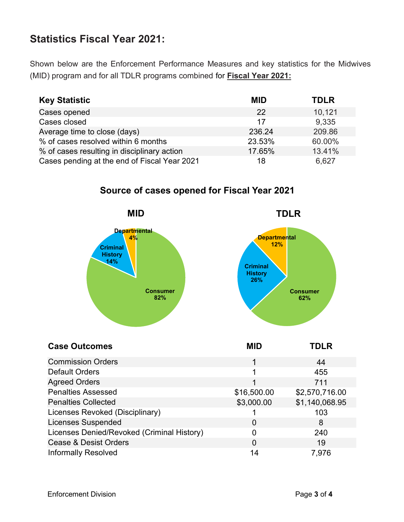### Statistics Fiscal Year 2021:

Shown below are the Enforcement Performance Measures and key statistics for the Midwives (MID) program and for all TDLR programs combined for **Fiscal Year 2021:** 

| <b>Key Statistic</b>                         | <b>MID</b> | <b>TDLR</b> |
|----------------------------------------------|------------|-------------|
| Cases opened                                 | 22         | 10,121      |
| Cases closed                                 | 17         | 9,335       |
| Average time to close (days)                 | 236.24     | 209.86      |
| % of cases resolved within 6 months          | 23.53%     | 60.00%      |
| % of cases resulting in disciplinary action  | 17.65%     | 13.41%      |
| Cases pending at the end of Fiscal Year 2021 | 18         | 6,627       |

#### Consumer<br>82% в 192% в последните применени в 192% в 1930 году в 1930 году в 1930 году в 1930 году в 1930 году в 1930 году в **Criminal** History<br>14% 14% (a) and a set of the set of the set of the set of the set of the set of the set of the set of the set of t Departmental 4% Departmental MID **TDL Consumer** 62% and the contract of the contract of the contract of the contract of the contract of the contract of the contract of the contract of the contract of the contract of the contract of the contract of the contract of the co **Criminal** History<br>26% 26% — применение производительно применение применения и производительно применение применение применение при <mark>12%</mark> от селото на селото на селото на селото на селото на селото на селото на селото на селото на селото на сел TDLR

#### Source of cases opened for Fiscal Year 2021

| <b>Case Outcomes</b>                       | <b>MID</b>     | <b>TDLR</b>    |
|--------------------------------------------|----------------|----------------|
| <b>Commission Orders</b>                   |                | 44             |
| <b>Default Orders</b>                      |                | 455            |
| <b>Agreed Orders</b>                       |                | 711            |
| <b>Penalties Assessed</b>                  | \$16,500.00    | \$2,570,716.00 |
| <b>Penalties Collected</b>                 | \$3,000.00     | \$1,140,068.95 |
| Licenses Revoked (Disciplinary)            |                | 103            |
| <b>Licenses Suspended</b>                  | 0              | 8              |
| Licenses Denied/Revoked (Criminal History) | 0              | 240            |
| <b>Cease &amp; Desist Orders</b>           | $\overline{0}$ | 19             |
| <b>Informally Resolved</b>                 | 14             | 7,976          |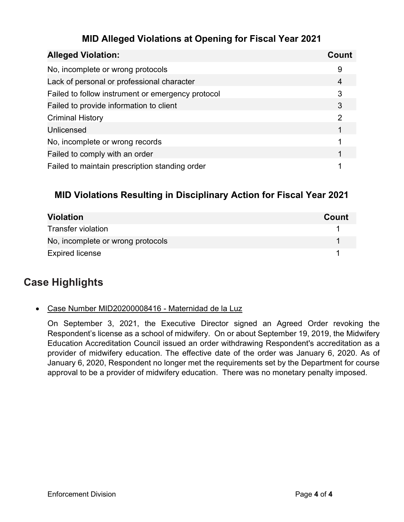#### MID Alleged Violations at Opening for Fiscal Year 2021

| <b>Alleged Violation:</b>                         | Count |
|---------------------------------------------------|-------|
| No, incomplete or wrong protocols                 | 9     |
| Lack of personal or professional character        | 4     |
| Failed to follow instrument or emergency protocol | 3     |
| Failed to provide information to client           | 3     |
| <b>Criminal History</b>                           | 2     |
| Unlicensed                                        |       |
| No, incomplete or wrong records                   |       |
| Failed to comply with an order                    |       |
| Failed to maintain prescription standing order    |       |

#### MID Violations Resulting in Disciplinary Action for Fiscal Year 2021

| <b>Violation</b>                  | Count |
|-----------------------------------|-------|
| Transfer violation                |       |
| No, incomplete or wrong protocols |       |
| <b>Expired license</b>            |       |

### Case Highlights

Case Number MID20200008416 - Maternidad de la Luz

On September 3, 2021, the Executive Director signed an Agreed Order revoking the Respondent's license as a school of midwifery. On or about September 19, 2019, the Midwifery Education Accreditation Council issued an order withdrawing Respondent's accreditation as a provider of midwifery education. The effective date of the order was January 6, 2020. As of January 6, 2020, Respondent no longer met the requirements set by the Department for course approval to be a provider of midwifery education. There was no monetary penalty imposed.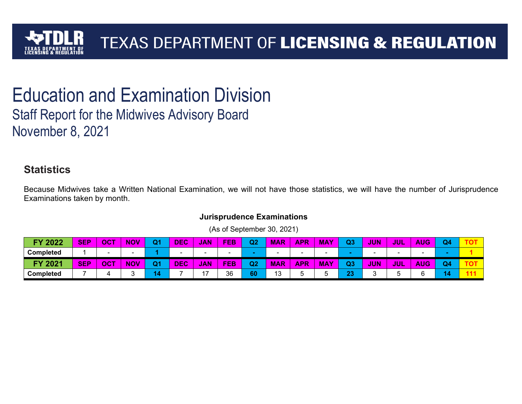

# Education and Examination Division Staff Report for the Midwives Advisory Board November 8, 2021

### **Statistics**

Because Midwives take a Written National Examination, we will not have those statistics, we will have the number of Jurisprudence Examinations taken by month.

#### **Jurisprudence Examinations**

(As of September 30, 2021)

| <b>FY 2022</b>   | <b>SEP</b> | ост | <b>NOV</b> | <b>DEC</b> | <b>JAN</b> | <b>FEB</b> | റാ | <b>MAR</b> | <b>APR</b> | <b>MAY</b> | a v  | JUN | <b>JUL</b> | AHC. |  |
|------------------|------------|-----|------------|------------|------------|------------|----|------------|------------|------------|------|-----|------------|------|--|
| <b>Completed</b> |            |     |            | -          | -          |            |    |            | $\sim$     |            |      |     |            |      |  |
|                  |            |     |            |            |            |            |    |            |            |            |      |     |            |      |  |
| <b>FY 2021</b>   | <b>SEP</b> | ост | <b>NOV</b> | <b>DEC</b> | <b>JAN</b> | <b>FEB</b> | Q2 | <b>MAR</b> | <b>APR</b> | <b>MAY</b> | at v | JUN | <b>JUL</b> | AHC. |  |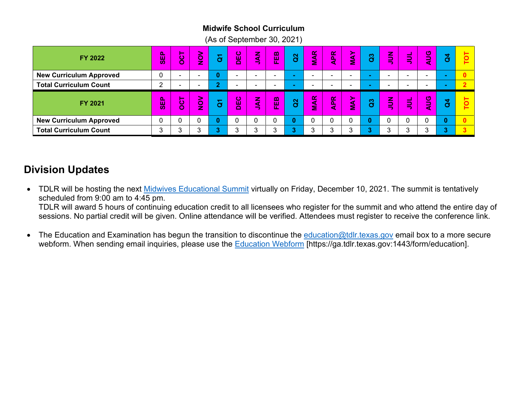#### (As of September 30, 2021) **FY 2022 SEP OCT NOV Q1 DEC JAN FEB Q2 MAR APR MAY Q3**  $\leq$ **JUL AUG Q4 TOT New Curriculum Approved** 0 - - **0** - - - **-** - - - **-** - - - **- 0 Total Curriculum Count** 2 - - **2** - - - **-** - - - **-** - - - **- 2 FY 2021 SEP OCT NOV Q1 DEC JAN FEB Q2 MAR APR MAY Q3**  $\leq$ **JUL AUG Q4 TOT New Curriculum Approved** 0 0 0 **0** 0 0 0 **0** 0 0 0 **0** 0 0 0 **0 0 Total Curriculum Count** 3 3 3 **3** 3 3 3 **3** 3 3 3 **3** 3 3 3 **3 3**

#### **Midwife School Curriculum**

## **Division Updates**

- TDLR will be hosting the next [Midwives Educational Summit](https://gcc02.safelinks.protection.outlook.com/?url=https%3A%2F%2Flnks.gd%2Fl%2FeyJhbGciOiJIUzI1NiJ9.eyJidWxsZXRpbl9saW5rX2lkIjoxMDAsInVyaSI6ImJwMjpjbGljayIsImJ1bGxldGluX2lkIjoiMjAyMTA5MzAuNDY2ODkwNjEiLCJ1cmwiOiJodHRwczovL3d3dy50ZGxyLnRleGFzLmdvdi9taWR3aXZlcy9td3ZzdW1taXQuaHRtIn0.4LLQ2va_hxtBPnFW9MxZk5ZS4GFTY44SdYLOlYNPN4U%2Fs%2F228022355%2Fbr%2F113148837993-l&data=04%7C01%7CMarco.Rodriguez%40tdlr.texas.gov%7C1f1cc48117e944fa0d9d08d9923a4aad%7Ceb8d3d3ba14f4a6aad4b27283ad00df6%7C0%7C0%7C637701601321874752%7CUnknown%7CTWFpbGZsb3d8eyJWIjoiMC4wLjAwMDAiLCJQIjoiV2luMzIiLCJBTiI6Ik1haWwiLCJXVCI6Mn0%3D%7C1000&sdata=ezqmMZXi%2F3NFPX3GSWPq5R0HnJQA3dqq8352HtDBMis%3D&reserved=0) virtually on Friday, December 10, 2021. The summit is tentatively scheduled from 9:00 am to 4:45 pm. TDLR will award 5 hours of continuing education credit to all licensees who register for the summit and who attend the entire day of sessions. No partial credit will be given. Online attendance will be verified. Attendees must register to receive the conference link.
- The Education and Examination has begun the transition to discontinue the [education@tdlr.texas.gov](mailto:education@tdlr.texas.gov) email box to a more secure webform. When sending email inquiries, please use the [Education Webform](https://ga.tdlr.texas.gov:1443/form/education) [https://ga.tdlr.texas.gov:1443/form/education].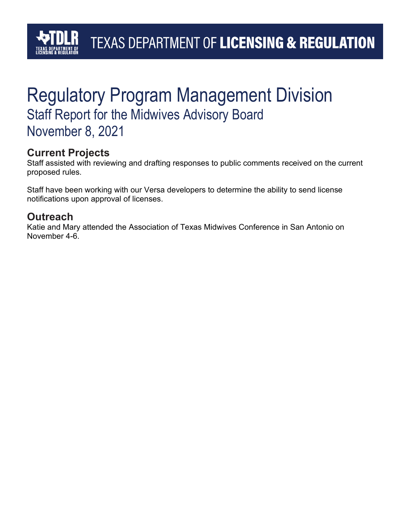# TEXAS DEPARTMENT OF LICENSING & REGULATION

# Regulatory Program Management Division Staff Report for the Midwives Advisory Board November 8, 2021

### **Current Projects**

Staff assisted with reviewing and drafting responses to public comments received on the current proposed rules.

Staff have been working with our Versa developers to determine the ability to send license notifications upon approval of licenses.

### **Outreach**

Katie and Mary attended the Association of Texas Midwives Conference in San Antonio on November 4-6.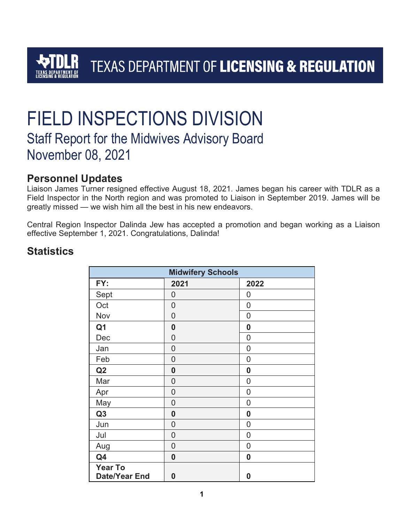TEXAS DEPARTMENT OF LICENSING & REGULATION

# FIELD INSPECTIONS DIVISION Staff Report for the Midwives Advisory Board November 08, 2021

### **Personnel Updates**

Liaison James Turner resigned effective August 18, 2021. James began his career with TDLR as a Field Inspector in the North region and was promoted to Liaison in September 2019. James will be greatly missed — we wish him all the best in his new endeavors.

Central Region Inspector Dalinda Jew has accepted a promotion and began working as a Liaison effective September 1, 2021. Congratulations, Dalinda!

| <b>Midwifery Schools</b>               |                  |                |  |  |  |
|----------------------------------------|------------------|----------------|--|--|--|
| FY:                                    | 2021             | 2022           |  |  |  |
| Sept                                   | $\mathbf 0$      | 0              |  |  |  |
| Oct                                    | $\overline{0}$   | $\mathbf 0$    |  |  |  |
| Nov                                    | 0                | 0              |  |  |  |
| Q <sub>1</sub>                         | $\bf{0}$         | 0              |  |  |  |
| Dec                                    | $\overline{0}$   | $\overline{0}$ |  |  |  |
| Jan                                    | $\overline{0}$   | 0              |  |  |  |
| Feb                                    | $\mathbf 0$      | 0              |  |  |  |
| Q2                                     | $\bf{0}$         | $\bf{0}$       |  |  |  |
| Mar                                    | $\overline{0}$   | 0              |  |  |  |
| Apr                                    | $\mathbf 0$      | $\mathbf 0$    |  |  |  |
| May                                    | $\mathbf 0$      | 0              |  |  |  |
| Q <sub>3</sub>                         | $\boldsymbol{0}$ | 0              |  |  |  |
| Jun                                    | $\overline{0}$   | 0              |  |  |  |
| Jul                                    | 0                | 0              |  |  |  |
| Aug                                    | $\mathbf 0$      | 0              |  |  |  |
| Q4                                     | $\boldsymbol{0}$ | 0              |  |  |  |
| <b>Year To</b><br><b>Date/Year End</b> | 0                | 0              |  |  |  |

### **Statistics**